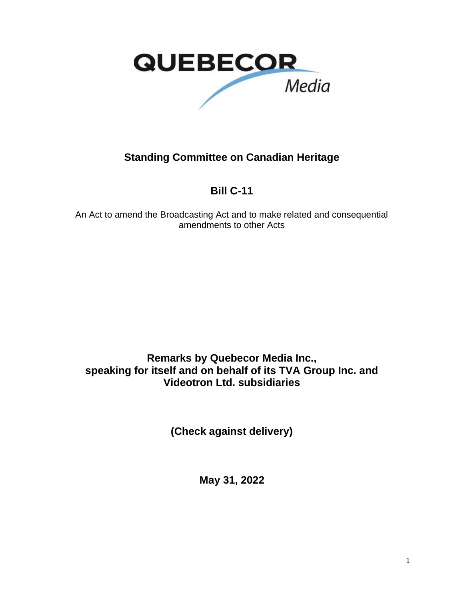

#### **Standing Committee on Canadian Heritage**

### **Bill C-11**

An Act to amend the Broadcasting Act and to make related and consequential amendments to other Acts

**Remarks by Quebecor Media Inc., speaking for itself and on behalf of its TVA Group Inc. and Videotron Ltd. subsidiaries**

**(Check against delivery)**

**May 31, 2022**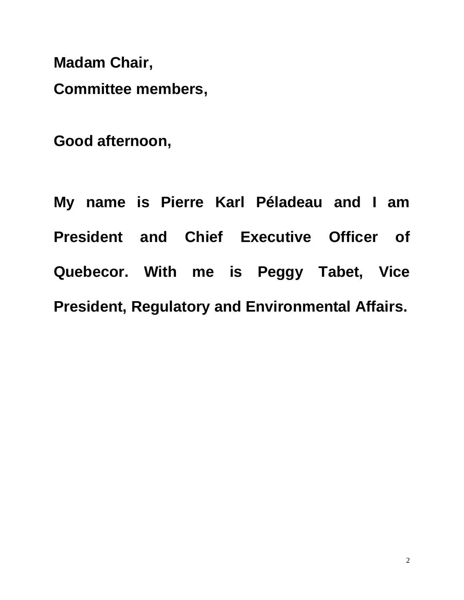**Madam Chair,**

**Committee members,**

**Good afternoon,**

|                                                         | My name is Pierre Karl Péladeau and I am |  |  |  |  |  |  |  |  |  |  |  |
|---------------------------------------------------------|------------------------------------------|--|--|--|--|--|--|--|--|--|--|--|
|                                                         | President and Chief Executive Officer of |  |  |  |  |  |  |  |  |  |  |  |
|                                                         | Quebecor. With me is Peggy Tabet, Vice   |  |  |  |  |  |  |  |  |  |  |  |
| <b>President, Regulatory and Environmental Affairs.</b> |                                          |  |  |  |  |  |  |  |  |  |  |  |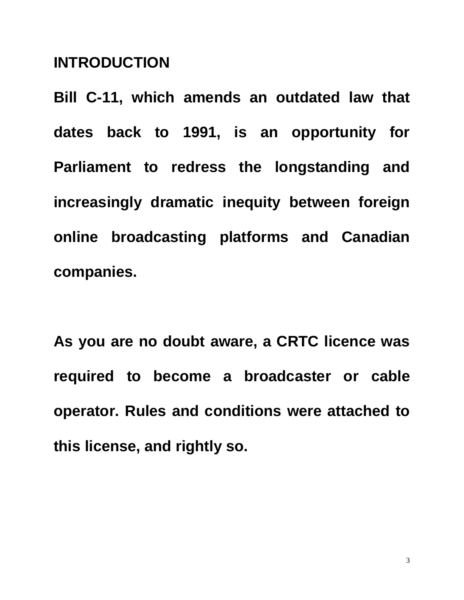## **INTRODUCTION**

**Bill C-11, which amends an outdated law that dates back to 1991, is an opportunity for Parliament to redress the longstanding and increasingly dramatic inequity between foreign online broadcasting platforms and Canadian companies.**

**As you are no doubt aware, a CRTC licence was required to become a broadcaster or cable operator. Rules and conditions were attached to this license, and rightly so.**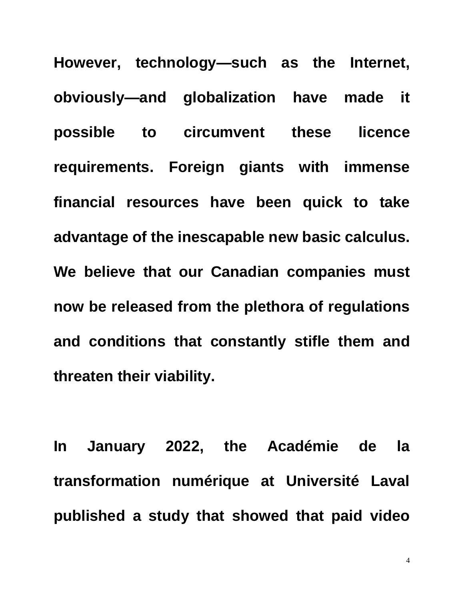**However, technology—such as the Internet, obviously—and globalization have made it possible to circumvent these licence requirements. Foreign giants with immense financial resources have been quick to take advantage of the inescapable new basic calculus. We believe that our Canadian companies must now be released from the plethora of regulations and conditions that constantly stifle them and threaten their viability.**

**In January 2022, the Académie de la transformation numérique at Université Laval published a study that showed that paid video** 

4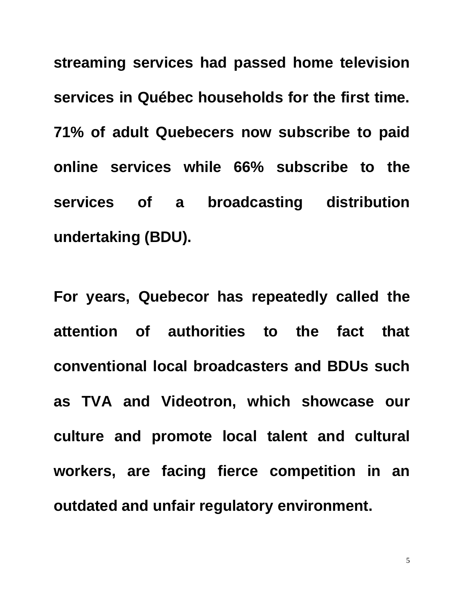**streaming services had passed home television services in Québec households for the first time. 71% of adult Quebecers now subscribe to paid online services while 66% subscribe to the services of a broadcasting distribution undertaking (BDU).**

**For years, Quebecor has repeatedly called the attention of authorities to the fact that conventional local broadcasters and BDUs such as TVA and Videotron, which showcase our culture and promote local talent and cultural workers, are facing fierce competition in an outdated and unfair regulatory environment.**

5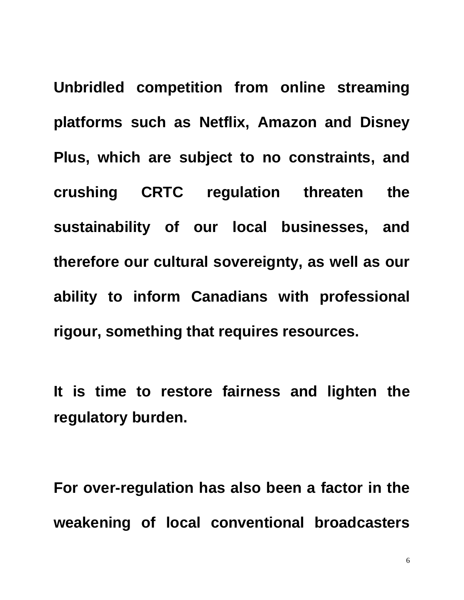**Unbridled competition from online streaming platforms such as Netflix, Amazon and Disney Plus, which are subject to no constraints, and crushing CRTC regulation threaten the sustainability of our local businesses, and therefore our cultural sovereignty, as well as our ability to inform Canadians with professional rigour, something that requires resources.**

**It is time to restore fairness and lighten the regulatory burden.**

**For over-regulation has also been a factor in the weakening of local conventional broadcasters**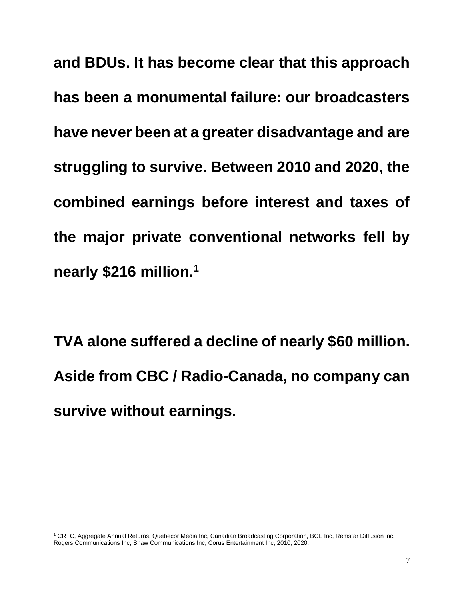**and BDUs. It has become clear that this approach has been a monumental failure: our broadcasters have never been at a greater disadvantage and are struggling to survive. Between 2010 and 2020, the combined earnings before interest and taxes of the major private conventional networks fell by nearly \$216 million.<sup>1</sup>**

**TVA alone suffered a decline of nearly \$60 million. Aside from CBC / Radio-Canada, no company can survive without earnings.**

<sup>1</sup> CRTC, Aggregate Annual Returns, Quebecor Media Inc, Canadian Broadcasting Corporation, BCE Inc, Remstar Diffusion inc, Rogers Communications Inc, Shaw Communications Inc, Corus Entertainment Inc, 2010, 2020.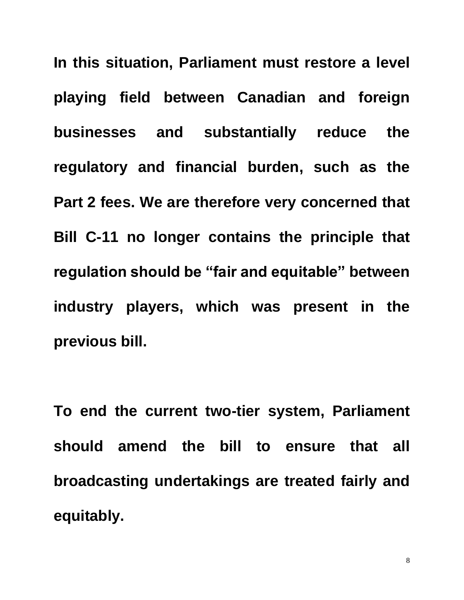**In this situation, Parliament must restore a level playing field between Canadian and foreign businesses and substantially reduce the regulatory and financial burden, such as the Part 2 fees. We are therefore very concerned that Bill C-11 no longer contains the principle that regulation should be "fair and equitable" between industry players, which was present in the previous bill.**

**To end the current two-tier system, Parliament should amend the bill to ensure that all broadcasting undertakings are treated fairly and equitably.**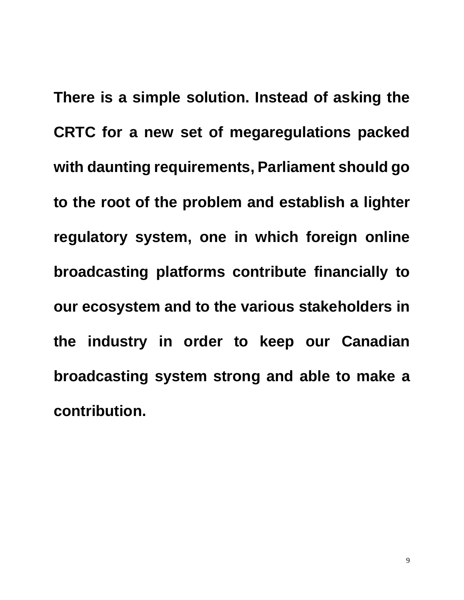**There is a simple solution. Instead of asking the CRTC for a new set of megaregulations packed with daunting requirements, Parliament should go to the root of the problem and establish a lighter regulatory system, one in which foreign online broadcasting platforms contribute financially to our ecosystem and to the various stakeholders in the industry in order to keep our Canadian broadcasting system strong and able to make a contribution.**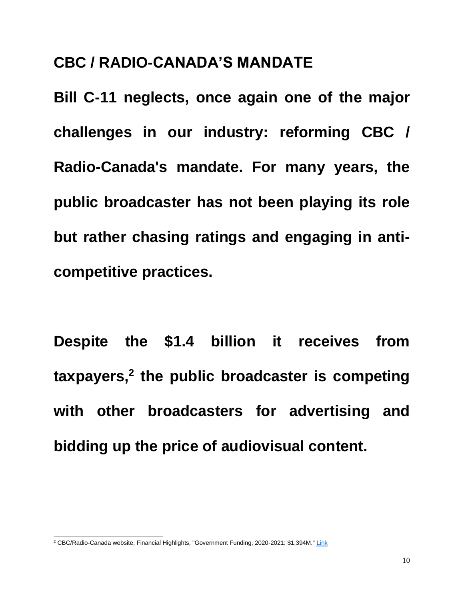# **CBC / RADIO-CANADA'S MANDATE**

**Bill C-11 neglects, once again one of the major challenges in our industry: reforming CBC / Radio-Canada's mandate. For many years, the public broadcaster has not been playing its role but rather chasing ratings and engaging in anticompetitive practices.**

**Despite the \$1.4 billion it receives from taxpayers,<sup>2</sup> the public broadcaster is competing with other broadcasters for advertising and bidding up the price of audiovisual content.**

<sup>2</sup> CBC/Radio-Canada website, Financial Highlights, "Government Funding, 2020-2021: \$1,394M.[" Link](https://cbc.radio-canada.ca/en/impact-and-accountability/finances/annual-reports/ar-2020-2021/highlights/financial-highlights)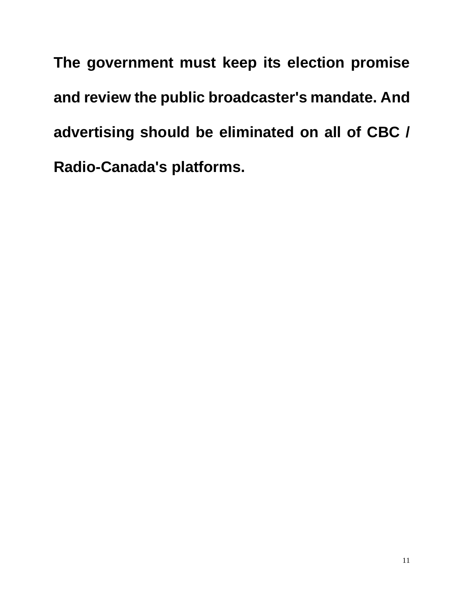**The government must keep its election promise and review the public broadcaster's mandate. And advertising should be eliminated on all of CBC / Radio-Canada's platforms.**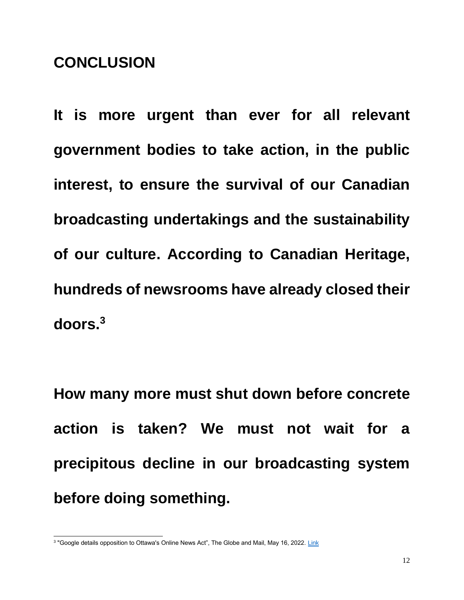# **CONCLUSION**

**It is more urgent than ever for all relevant government bodies to take action, in the public interest, to ensure the survival of our Canadian broadcasting undertakings and the sustainability of our culture. According to Canadian Heritage, hundreds of newsrooms have already closed their doors.<sup>3</sup>**

**How many more must shut down before concrete action is taken? We must not wait for a precipitous decline in our broadcasting system before doing something.**

<sup>&</sup>lt;sup>3</sup> "Google details opposition to Ottawa's Online News Act", The Globe and Mail, May 16, 2022. <u>[Link](https://www.theglobeandmail.com/politics/article-google-warns-ottawas-online-news-act-would-break-its-search-engine/)</u>